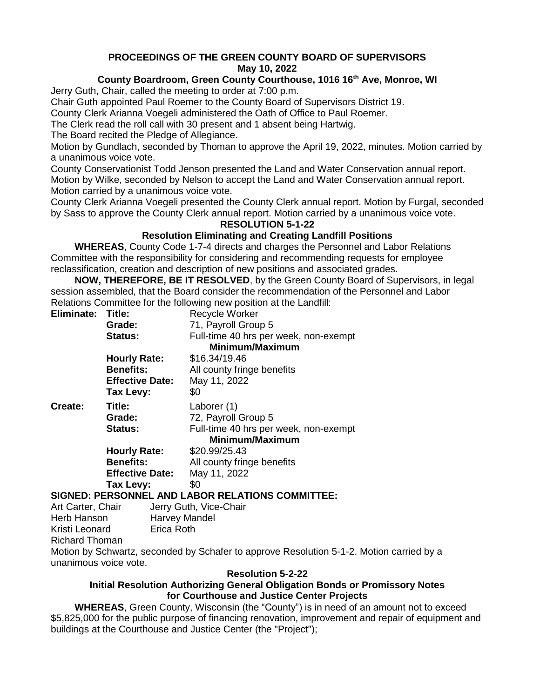# **PROCEEDINGS OF THE GREEN COUNTY BOARD OF SUPERVISORS May 10, 2022**

# **County Boardroom, Green County Courthouse, 1016 16th Ave, Monroe, WI**

Jerry Guth, Chair, called the meeting to order at 7:00 p.m.

Chair Guth appointed Paul Roemer to the County Board of Supervisors District 19.

County Clerk Arianna Voegeli administered the Oath of Office to Paul Roemer.

The Clerk read the roll call with 30 present and 1 absent being Hartwig.

The Board recited the Pledge of Allegiance.

Motion by Gundlach, seconded by Thoman to approve the April 19, 2022, minutes. Motion carried by a unanimous voice vote.

County Conservationist Todd Jenson presented the Land and Water Conservation annual report. Motion by Wilke, seconded by Nelson to accept the Land and Water Conservation annual report. Motion carried by a unanimous voice vote.

County Clerk Arianna Voegeli presented the County Clerk annual report. Motion by Furgal, seconded by Sass to approve the County Clerk annual report. Motion carried by a unanimous voice vote.

#### **RESOLUTION 5-1-22**

# **Resolution Eliminating and Creating Landfill Positions**

**WHEREAS**, County Code 1-7-4 directs and charges the Personnel and Labor Relations Committee with the responsibility for considering and recommending requests for employee reclassification, creation and description of new positions and associated grades.

**NOW, THEREFORE, BE IT RESOLVED**, by the Green County Board of Supervisors, in legal session assembled, that the Board consider the recommendation of the Personnel and Labor Relations Committee for the following new position at the Landfill:

| Eliminate: Title:                                     |                        | Recycle Worker                        |
|-------------------------------------------------------|------------------------|---------------------------------------|
|                                                       | Grade:                 | 71, Payroll Group 5                   |
|                                                       | <b>Status:</b>         | Full-time 40 hrs per week, non-exempt |
|                                                       |                        | Minimum/Maximum                       |
|                                                       | <b>Hourly Rate:</b>    | \$16.34/19.46                         |
|                                                       | <b>Benefits:</b>       | All county fringe benefits            |
|                                                       | <b>Effective Date:</b> | May 11, 2022                          |
|                                                       | Tax Levy:              | \$0                                   |
| Create:                                               | Title:                 | Laborer (1)                           |
|                                                       | Grade:                 | 72, Payroll Group 5                   |
|                                                       | <b>Status:</b>         | Full-time 40 hrs per week, non-exempt |
|                                                       |                        | Minimum/Maximum                       |
|                                                       | <b>Hourly Rate:</b>    | \$20.99/25.43                         |
|                                                       | <b>Benefits:</b>       | All county fringe benefits            |
|                                                       | <b>Effective Date:</b> | May 11, 2022                          |
|                                                       | Tax Levy:              | \$0                                   |
| ADOD DEI ATIONS COMMITTEE.<br>CICNED, DEDCONNEL AND I |                        |                                       |

### **SIGNED: PERSONNEL AND LABOR RELATIONS COMMITTEE:**

Art Carter, Chair **Jerry Guth, Vice-Chair** Herb Hanson Harvey Mandel Kristi Leonard Erica Roth Richard Thoman Motion by Schwartz, seconded by Schafer to approve Resolution 5-1-2. Motion carried by a unanimous voice vote.

### **Resolution 5-2-22**

### **Initial Resolution Authorizing General Obligation Bonds or Promissory Notes for Courthouse and Justice Center Projects**

**WHEREAS**, Green County, Wisconsin (the "County") is in need of an amount not to exceed \$5,825,000 for the public purpose of financing renovation, improvement and repair of equipment and buildings at the Courthouse and Justice Center (the "Project");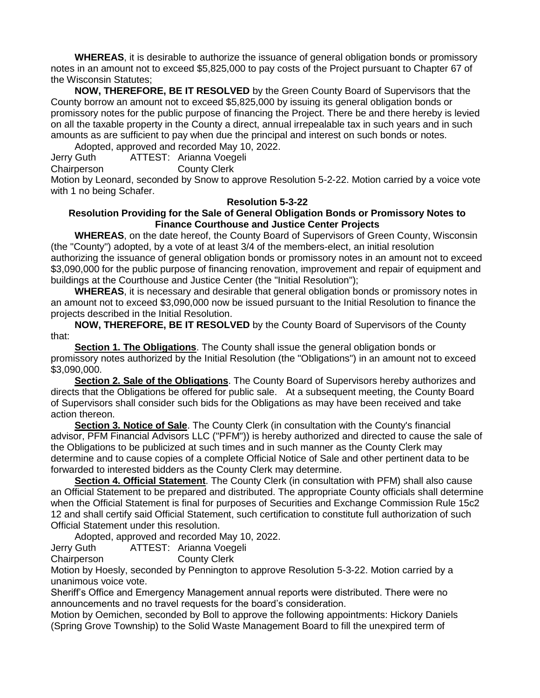**WHEREAS**, it is desirable to authorize the issuance of general obligation bonds or promissory notes in an amount not to exceed \$5,825,000 to pay costs of the Project pursuant to Chapter 67 of the Wisconsin Statutes;

**NOW, THEREFORE, BE IT RESOLVED** by the Green County Board of Supervisors that the County borrow an amount not to exceed \$5,825,000 by issuing its general obligation bonds or promissory notes for the public purpose of financing the Project. There be and there hereby is levied on all the taxable property in the County a direct, annual irrepealable tax in such years and in such amounts as are sufficient to pay when due the principal and interest on such bonds or notes.

Adopted, approved and recorded May 10, 2022.

Jerry Guth ATTEST: Arianna Voegeli

Chairperson County Clerk

Motion by Leonard, seconded by Snow to approve Resolution 5-2-22. Motion carried by a voice vote with 1 no being Schafer.

#### **Resolution 5-3-22**

#### **Resolution Providing for the Sale of General Obligation Bonds or Promissory Notes to Finance Courthouse and Justice Center Projects**

**WHEREAS**, on the date hereof, the County Board of Supervisors of Green County, Wisconsin (the "County") adopted, by a vote of at least 3/4 of the members-elect, an initial resolution authorizing the issuance of general obligation bonds or promissory notes in an amount not to exceed \$3,090,000 for the public purpose of financing renovation, improvement and repair of equipment and buildings at the Courthouse and Justice Center (the "Initial Resolution");

**WHEREAS**, it is necessary and desirable that general obligation bonds or promissory notes in an amount not to exceed \$3,090,000 now be issued pursuant to the Initial Resolution to finance the projects described in the Initial Resolution.

**NOW, THEREFORE, BE IT RESOLVED** by the County Board of Supervisors of the County that:

**Section 1. The Obligations**. The County shall issue the general obligation bonds or promissory notes authorized by the Initial Resolution (the "Obligations") in an amount not to exceed \$3,090,000.

**Section 2. Sale of the Obligations**. The County Board of Supervisors hereby authorizes and directs that the Obligations be offered for public sale. At a subsequent meeting, the County Board of Supervisors shall consider such bids for the Obligations as may have been received and take action thereon.

**Section 3. Notice of Sale**. The County Clerk (in consultation with the County's financial advisor, PFM Financial Advisors LLC ("PFM")) is hereby authorized and directed to cause the sale of the Obligations to be publicized at such times and in such manner as the County Clerk may determine and to cause copies of a complete Official Notice of Sale and other pertinent data to be forwarded to interested bidders as the County Clerk may determine.

**Section 4. Official Statement**. The County Clerk (in consultation with PFM) shall also cause an Official Statement to be prepared and distributed. The appropriate County officials shall determine when the Official Statement is final for purposes of Securities and Exchange Commission Rule 15c2 12 and shall certify said Official Statement, such certification to constitute full authorization of such Official Statement under this resolution.

Adopted, approved and recorded May 10, 2022.

Jerry Guth ATTEST: Arianna Voegeli

Chairperson County Clerk

Motion by Hoesly, seconded by Pennington to approve Resolution 5-3-22. Motion carried by a unanimous voice vote.

Sheriff's Office and Emergency Management annual reports were distributed. There were no announcements and no travel requests for the board's consideration.

Motion by Oemichen, seconded by Boll to approve the following appointments: Hickory Daniels (Spring Grove Township) to the Solid Waste Management Board to fill the unexpired term of